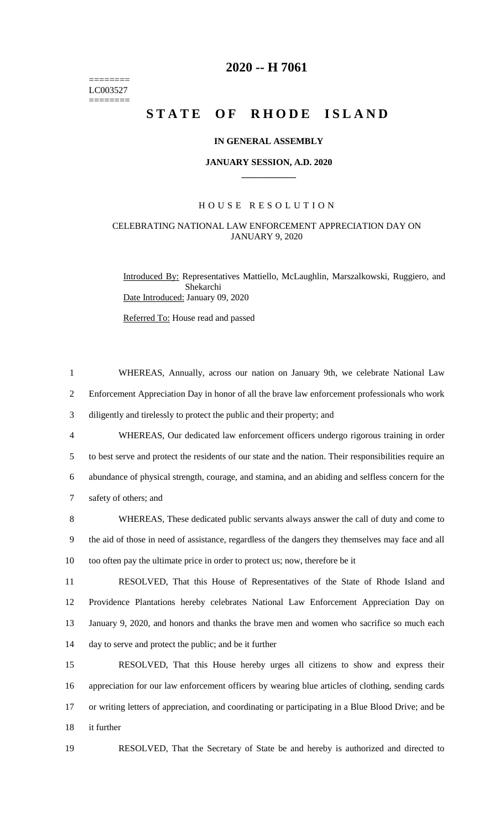======== LC003527  $=$ 

# **2020 -- H 7061**

# **STATE OF RHODE ISLAND**

# **IN GENERAL ASSEMBLY**

## **JANUARY SESSION, A.D. 2020 \_\_\_\_\_\_\_\_\_\_\_\_**

# H O U S E R E S O L U T I O N

# CELEBRATING NATIONAL LAW ENFORCEMENT APPRECIATION DAY ON JANUARY 9, 2020

Introduced By: Representatives Mattiello, McLaughlin, Marszalkowski, Ruggiero, and Shekarchi Date Introduced: January 09, 2020

Referred To: House read and passed

| $\mathbf{1}$   | WHEREAS, Annually, across our nation on January 9th, we celebrate National Law                         |
|----------------|--------------------------------------------------------------------------------------------------------|
| $\overline{2}$ | Enforcement Appreciation Day in honor of all the brave law enforcement professionals who work          |
| 3              | diligently and tirelessly to protect the public and their property; and                                |
| 4              | WHEREAS, Our dedicated law enforcement officers undergo rigorous training in order                     |
| 5              | to best serve and protect the residents of our state and the nation. Their responsibilities require an |
| 6              | abundance of physical strength, courage, and stamina, and an abiding and selfless concern for the      |
| $\tau$         | safety of others; and                                                                                  |
| 8              | WHEREAS, These dedicated public servants always answer the call of duty and come to                    |
| 9              | the aid of those in need of assistance, regardless of the dangers they themselves may face and all     |
| 10             | too often pay the ultimate price in order to protect us; now, therefore be it                          |
| 11             | RESOLVED, That this House of Representatives of the State of Rhode Island and                          |
| 12             | Providence Plantations hereby celebrates National Law Enforcement Appreciation Day on                  |
| 13             | January 9, 2020, and honors and thanks the brave men and women who sacrifice so much each              |
| 14             | day to serve and protect the public; and be it further                                                 |
| 15             | RESOLVED, That this House hereby urges all citizens to show and express their                          |
| 16             | appreciation for our law enforcement officers by wearing blue articles of clothing, sending cards      |
| 17             | or writing letters of appreciation, and coordinating or participating in a Blue Blood Drive; and be    |
|                |                                                                                                        |

18 it further

19 RESOLVED, That the Secretary of State be and hereby is authorized and directed to